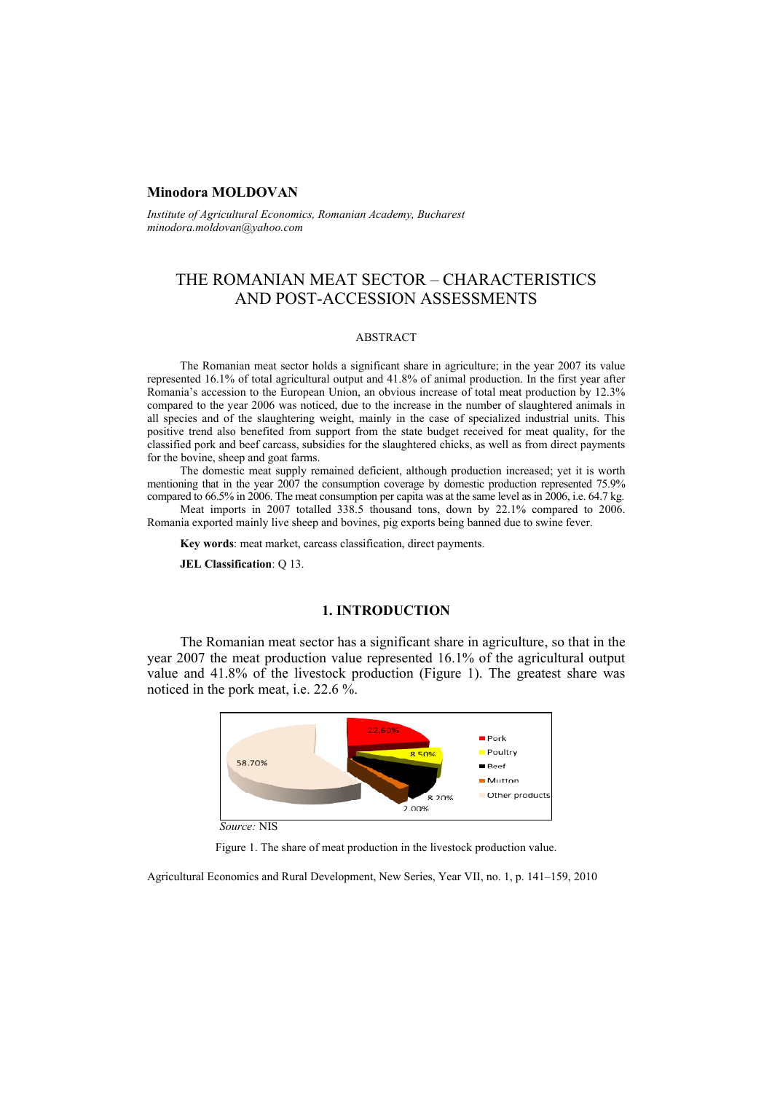# **Minodora MOLDOVAN**

*Institute of Agricultural Economics, Romanian Academy, Bucharest minodora.moldovan@yahoo.com*

# THE ROMANIAN MEAT SECTOR – CHARACTERISTICS AND POST-ACCESSION ASSESSMENTS

#### ABSTRACT

The Romanian meat sector holds a significant share in agriculture; in the year 2007 its value represented 16.1% of total agricultural output and 41.8% of animal production. In the first year after Romania's accession to the European Union, an obvious increase of total meat production by 12.3% compared to the year 2006 was noticed, due to the increase in the number of slaughtered animals in all species and of the slaughtering weight, mainly in the case of specialized industrial units. This positive trend also benefited from support from the state budget received for meat quality, for the classified pork and beef carcass, subsidies for the slaughtered chicks, as well as from direct payments for the bovine, sheep and goat farms.

The domestic meat supply remained deficient, although production increased; yet it is worth mentioning that in the year 2007 the consumption coverage by domestic production represented 75.9% compared to 66.5% in 2006. The meat consumption per capita was at the same level as in 2006, i.e. 64.7 kg.

Meat imports in 2007 totalled 338.5 thousand tons, down by 22.1% compared to 2006. Romania exported mainly live sheep and bovines, pig exports being banned due to swine fever.

**Key words**: meat market, carcass classification, direct payments.

**JEL Classification**: Q 13.

# **1. INTRODUCTION**

The Romanian meat sector has a significant share in agriculture, so that in the year 2007 the meat production value represented 16.1% of the agricultural output value and 41.8% of the livestock production (Figure 1). The greatest share was noticed in the pork meat, i.e. 22.6 %.



*Source:* NIS

Figure 1. The share of meat production in the livestock production value.

Agricultural Economics and Rural Development, New Series, Year VII, no. 1, p. 141–159, 2010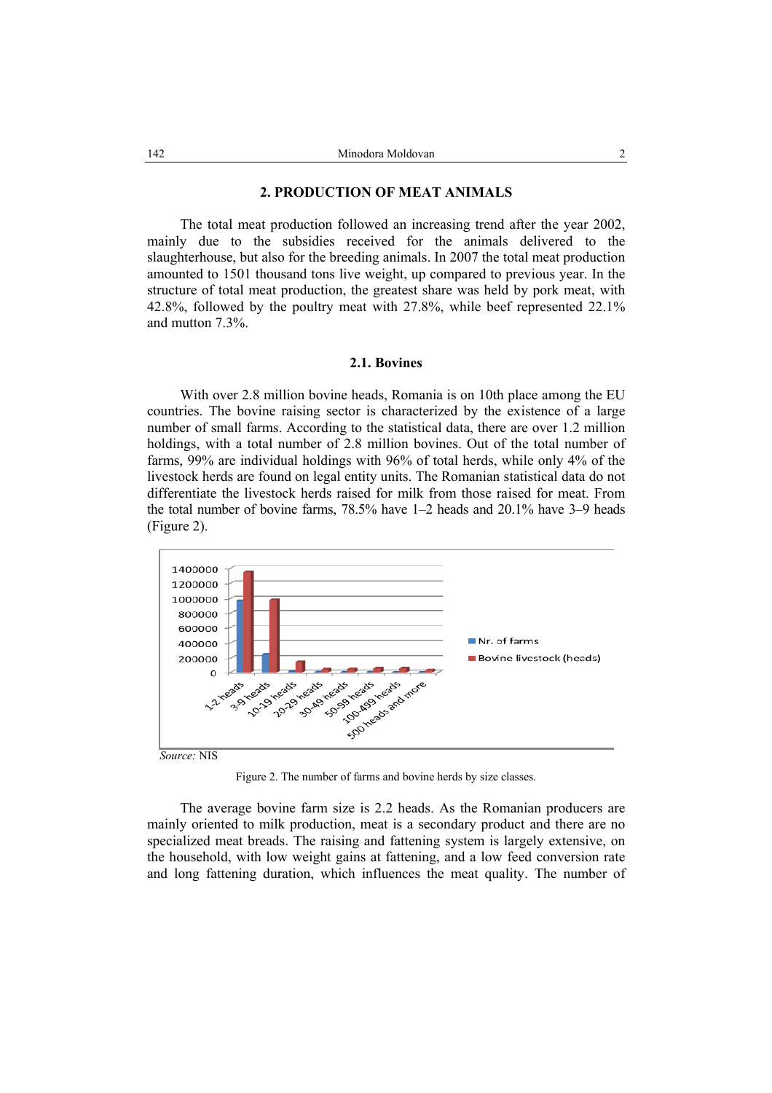### **2. PRODUCTION OF MEAT ANIMALS**

The total meat production followed an increasing trend after the year 2002, mainly due to the subsidies received for the animals delivered to the slaughterhouse, but also for the breeding animals. In 2007 the total meat production amounted to 1501 thousand tons live weight, up compared to previous year. In the structure of total meat production, the greatest share was held by pork meat, with 42.8%, followed by the poultry meat with 27.8%, while beef represented 22.1% and mutton 7.3%.

### **2.1. Bovines**

With over 2.8 million bovine heads, Romania is on 10th place among the EU countries. The bovine raising sector is characterized by the existence of a large number of small farms. According to the statistical data, there are over 1.2 million holdings, with a total number of 2.8 million bovines. Out of the total number of farms, 99% are individual holdings with 96% of total herds, while only 4% of the livestock herds are found on legal entity units. The Romanian statistical data do not differentiate the livestock herds raised for milk from those raised for meat. From the total number of bovine farms, 78.5% have 1–2 heads and 20.1% have 3–9 heads (Figure 2).



Figure 2. The number of farms and bovine herds by size classes.

The average bovine farm size is 2.2 heads. As the Romanian producers are mainly oriented to milk production, meat is a secondary product and there are no specialized meat breads. The raising and fattening system is largely extensive, on the household, with low weight gains at fattening, and a low feed conversion rate and long fattening duration, which influences the meat quality. The number of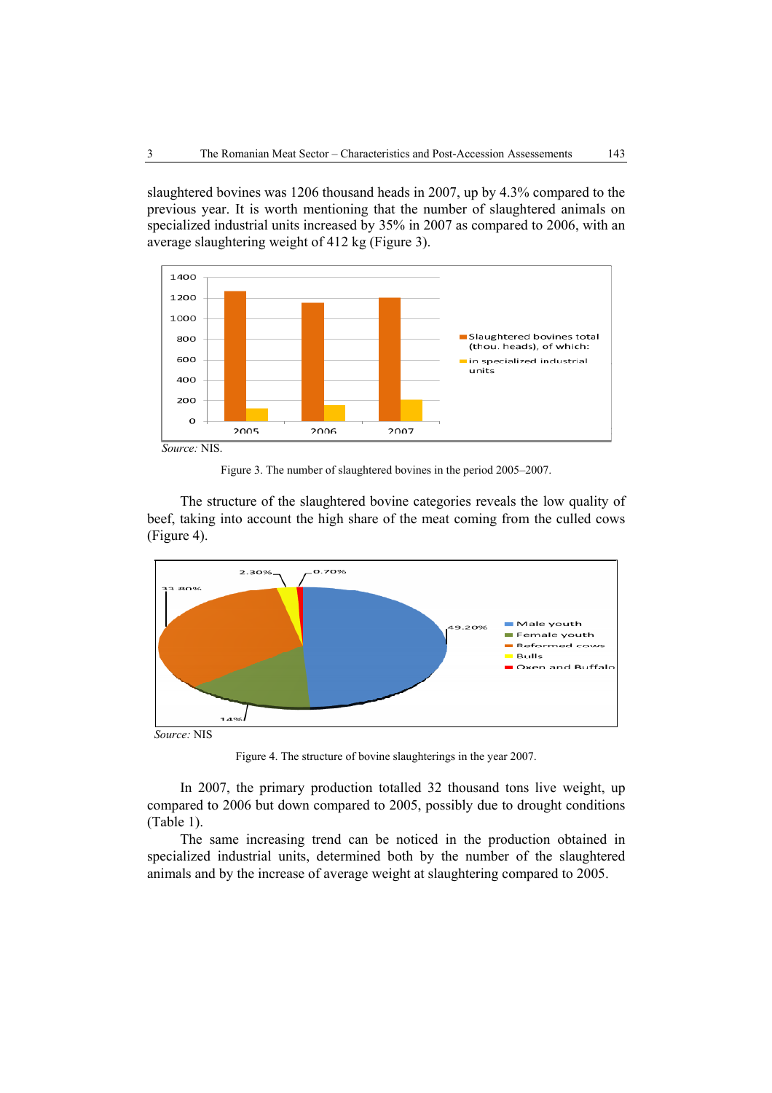slaughtered bovines was 1206 thousand heads in 2007, up by 4.3% compared to the previous year. It is worth mentioning that the number of slaughtered animals on specialized industrial units increased by 35% in 2007 as compared to 2006, with an average slaughtering weight of 412 kg (Figure 3).



Figure 3. The number of slaughtered bovines in the period 2005–2007.

The structure of the slaughtered bovine categories reveals the low quality of beef, taking into account the high share of the meat coming from the culled cows (Figure 4).



Figure 4. The structure of bovine slaughterings in the year 2007.

In 2007, the primary production totalled 32 thousand tons live weight, up compared to 2006 but down compared to 2005, possibly due to drought conditions (Table 1).

The same increasing trend can be noticed in the production obtained in specialized industrial units, determined both by the number of the slaughtered animals and by the increase of average weight at slaughtering compared to 2005.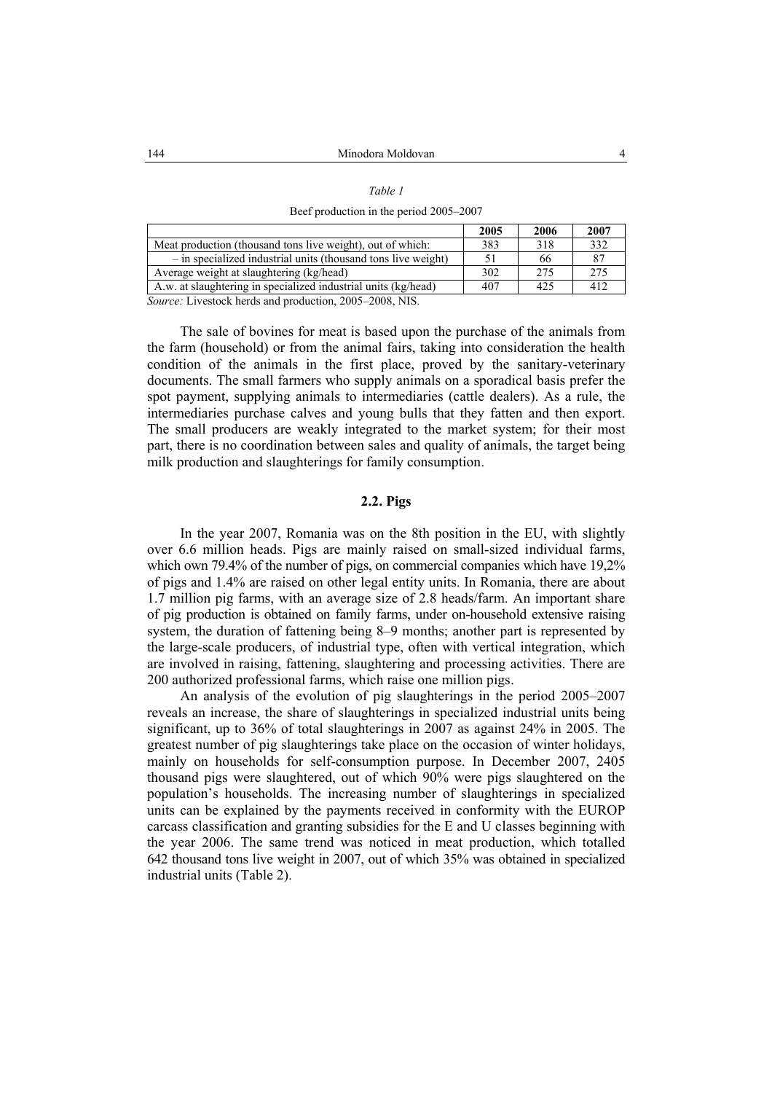#### *Table 1*

Beef production in the period 2005–2007

|                                                                | 2005 | 2006 | 2007 |
|----------------------------------------------------------------|------|------|------|
| Meat production (thousand tons live weight), out of which:     | 383  | 318  | 332  |
| - in specialized industrial units (thousand tons live weight)  |      | 66   | 87   |
| Average weight at slaughtering (kg/head)                       | 302  | 275  | 275  |
| A.w. at slaughtering in specialized industrial units (kg/head) | 407  | 425  | 412  |
| Saurea: Livestook berds and production 2005 2009 MIS           |      |      |      |

*Source:* Livestock herds and production, 2005–2008, NIS.

The sale of bovines for meat is based upon the purchase of the animals from the farm (household) or from the animal fairs, taking into consideration the health condition of the animals in the first place, proved by the sanitary-veterinary documents. The small farmers who supply animals on a sporadical basis prefer the spot payment, supplying animals to intermediaries (cattle dealers). As a rule, the intermediaries purchase calves and young bulls that they fatten and then export. The small producers are weakly integrated to the market system; for their most part, there is no coordination between sales and quality of animals, the target being milk production and slaughterings for family consumption.

# **2.2. Pigs**

In the year 2007, Romania was on the 8th position in the EU, with slightly over 6.6 million heads. Pigs are mainly raised on small-sized individual farms, which own 79.4% of the number of pigs, on commercial companies which have 19,2% of pigs and 1.4% are raised on other legal entity units. In Romania, there are about 1.7 million pig farms, with an average size of 2.8 heads/farm. An important share of pig production is obtained on family farms, under on-household extensive raising system, the duration of fattening being 8–9 months; another part is represented by the large-scale producers, of industrial type, often with vertical integration, which are involved in raising, fattening, slaughtering and processing activities. There are 200 authorized professional farms, which raise one million pigs.

An analysis of the evolution of pig slaughterings in the period 2005–2007 reveals an increase, the share of slaughterings in specialized industrial units being significant, up to 36% of total slaughterings in 2007 as against 24% in 2005. The greatest number of pig slaughterings take place on the occasion of winter holidays, mainly on households for self-consumption purpose. In December 2007, 2405 thousand pigs were slaughtered, out of which 90% were pigs slaughtered on the population's households. The increasing number of slaughterings in specialized units can be explained by the payments received in conformity with the EUROP carcass classification and granting subsidies for the E and U classes beginning with the year 2006. The same trend was noticed in meat production, which totalled 642 thousand tons live weight in 2007, out of which 35% was obtained in specialized industrial units (Table 2).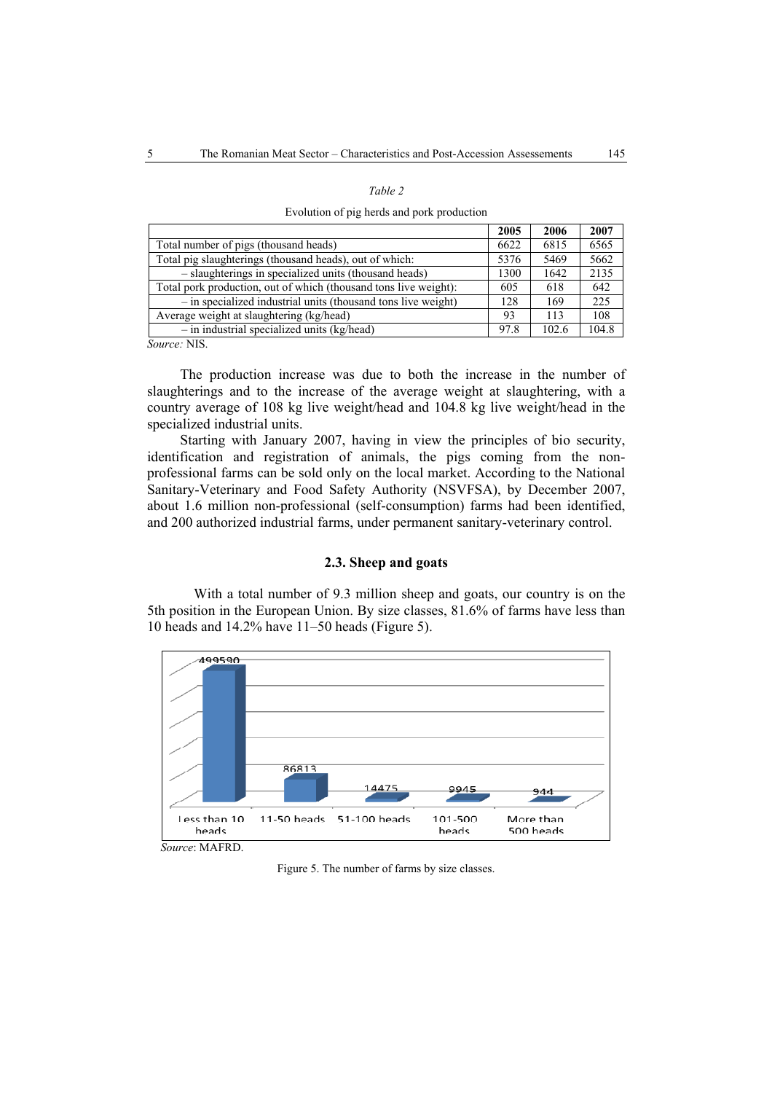|--|--|

Evolution of pig herds and pork production

|                                                                  | 2005 | 2006  | 2007  |
|------------------------------------------------------------------|------|-------|-------|
| Total number of pigs (thousand heads)                            | 6622 | 6815  | 6565  |
| Total pig slaughterings (thousand heads), out of which:          | 5376 | 5469  | 5662  |
| - slaughterings in specialized units (thousand heads)            | 1300 | 1642  | 2135  |
| Total pork production, out of which (thousand tons live weight): | 605  | 618   | 642   |
| - in specialized industrial units (thousand tons live weight)    | 128  | 169   | 225   |
| Average weight at slaughtering (kg/head)                         | 93   | 113   | 108   |
| $-$ in industrial specialized units (kg/head)                    | 97.8 | 102.6 | 104.8 |
|                                                                  |      |       |       |

*Source:* NIS.

The production increase was due to both the increase in the number of slaughterings and to the increase of the average weight at slaughtering, with a country average of 108 kg live weight/head and 104.8 kg live weight/head in the specialized industrial units.

Starting with January 2007, having in view the principles of bio security, identification and registration of animals, the pigs coming from the nonprofessional farms can be sold only on the local market. According to the National Sanitary-Veterinary and Food Safety Authority (NSVFSA), by December 2007, about 1.6 million non-professional (self-consumption) farms had been identified, and 200 authorized industrial farms, under permanent sanitary-veterinary control.

# **2.3. Sheep and goats**

With a total number of 9.3 million sheep and goats, our country is on the 5th position in the European Union. By size classes, 81.6% of farms have less than 10 heads and 14.2% have 11–50 heads (Figure 5).



Figure 5. The number of farms by size classes.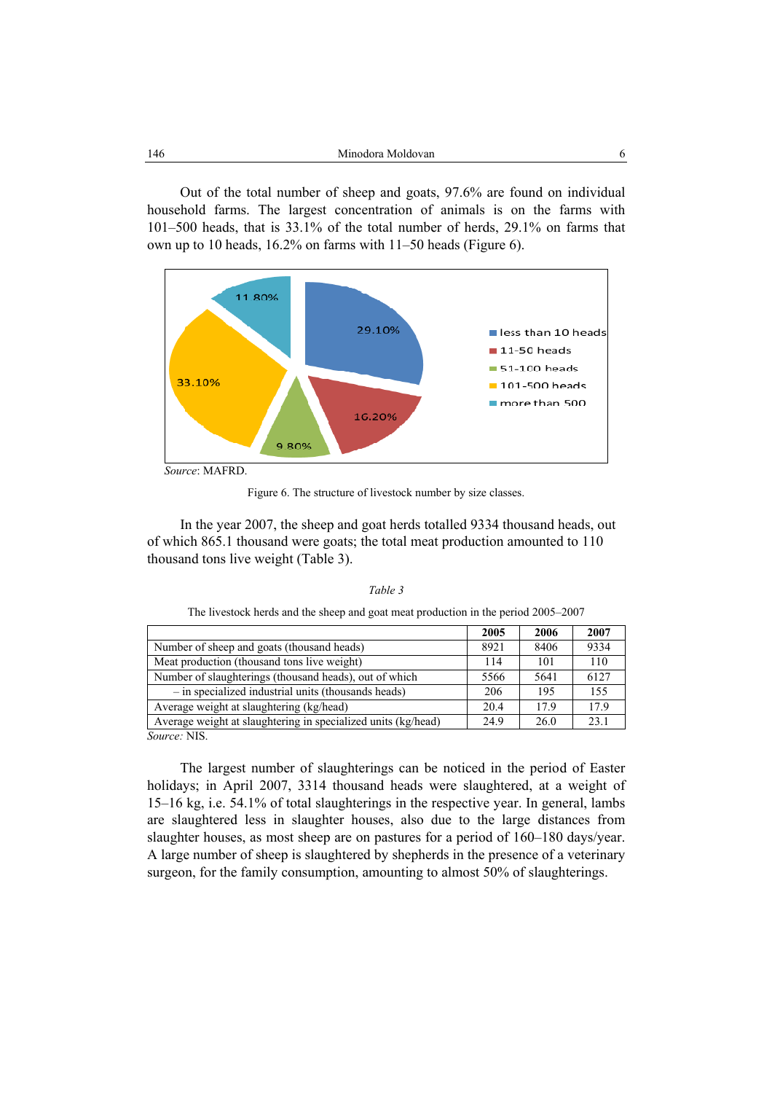Out of the total number of sheep and goats, 97.6% are found on individual household farms. The largest concentration of animals is on the farms with 101–500 heads, that is 33.1% of the total number of herds, 29.1% on farms that own up to 10 heads, 16.2% on farms with 11–50 heads (Figure 6).



Figure 6. The structure of livestock number by size classes.

In the year 2007, the sheep and goat herds totalled 9334 thousand heads, out of which 865.1 thousand were goats; the total meat production amounted to 110 thousand tons live weight (Table 3).

|                                                               | 2005 | 2006 | 2007 |
|---------------------------------------------------------------|------|------|------|
| Number of sheep and goats (thousand heads)                    | 8921 | 8406 | 9334 |
| Meat production (thousand tons live weight)                   | 114  | 101  | 110  |
| Number of slaughterings (thousand heads), out of which        | 5566 | 5641 | 6127 |
| - in specialized industrial units (thousands heads)           | 206  | 195  | 155  |
| Average weight at slaughtering (kg/head)                      | 20.4 | 179  | 179  |
| Average weight at slaughtering in specialized units (kg/head) | 24.9 | 26.0 | 23.1 |
| T/T<br>$\sim$ $\sim$                                          |      |      |      |

*Table 3*  The livestock herds and the sheep and goat meat production in the period 2005–2007

*Source:* NIS.

The largest number of slaughterings can be noticed in the period of Easter holidays; in April 2007, 3314 thousand heads were slaughtered, at a weight of 15–16 kg, i.e. 54.1% of total slaughterings in the respective year. In general, lambs are slaughtered less in slaughter houses, also due to the large distances from slaughter houses, as most sheep are on pastures for a period of 160–180 days/year. A large number of sheep is slaughtered by shepherds in the presence of a veterinary surgeon, for the family consumption, amounting to almost 50% of slaughterings.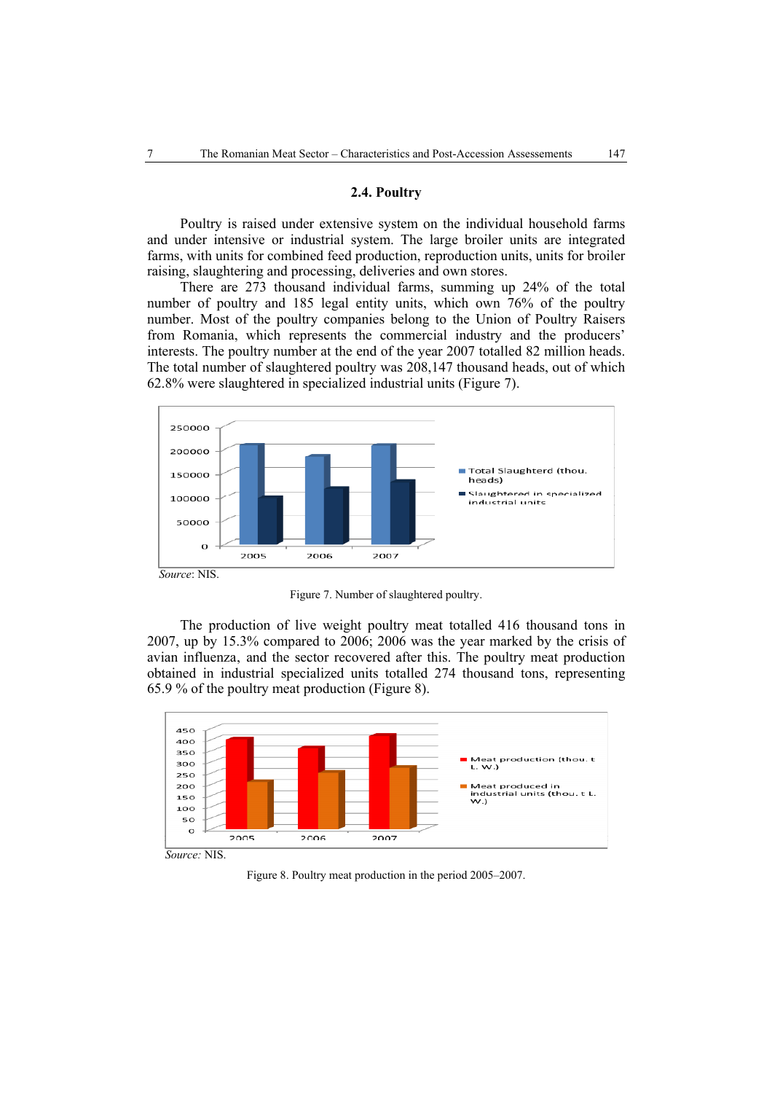# **2.4. Poultry**

Poultry is raised under extensive system on the individual household farms and under intensive or industrial system. The large broiler units are integrated farms, with units for combined feed production, reproduction units, units for broiler raising, slaughtering and processing, deliveries and own stores.

There are 273 thousand individual farms, summing up 24% of the total number of poultry and 185 legal entity units, which own 76% of the poultry number. Most of the poultry companies belong to the Union of Poultry Raisers from Romania, which represents the commercial industry and the producers' interests. The poultry number at the end of the year 2007 totalled 82 million heads. The total number of slaughtered poultry was 208,147 thousand heads, out of which 62.8% were slaughtered in specialized industrial units (Figure 7).



Figure 7. Number of slaughtered poultry.

The production of live weight poultry meat totalled 416 thousand tons in 2007, up by 15.3% compared to 2006; 2006 was the year marked by the crisis of avian influenza, and the sector recovered after this. The poultry meat production obtained in industrial specialized units totalled 274 thousand tons, representing 65.9 % of the poultry meat production (Figure 8).



Figure 8. Poultry meat production in the period 2005–2007.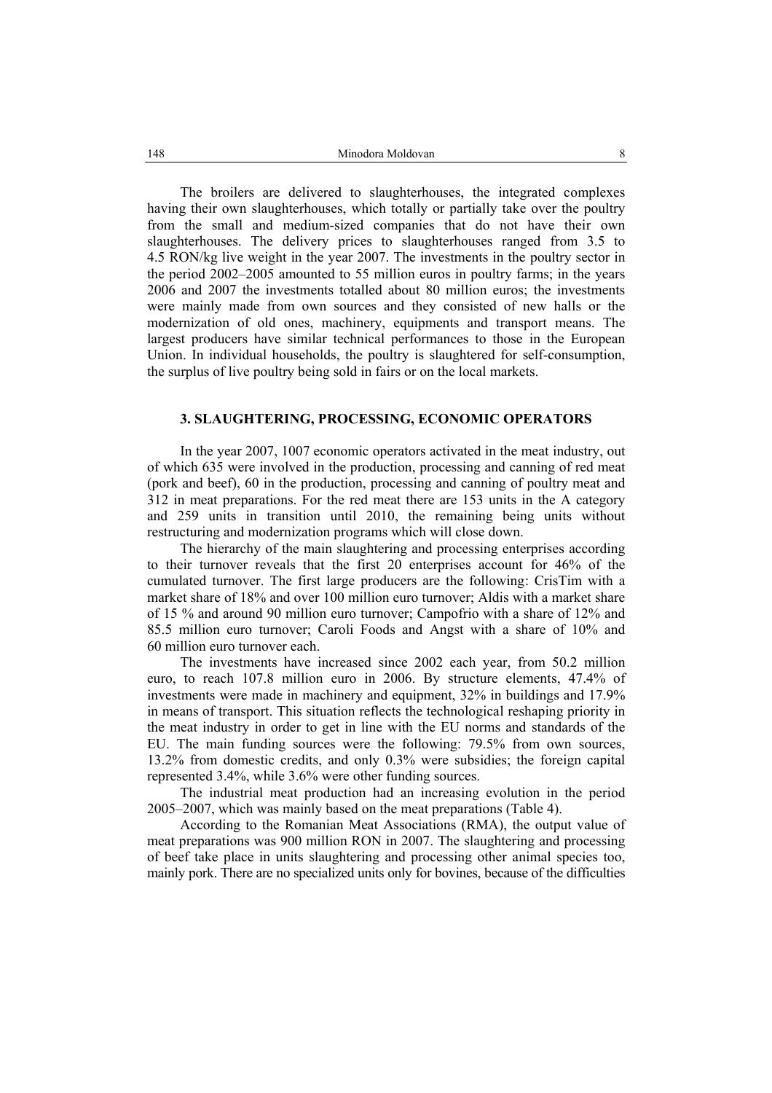The broilers are delivered to slaughterhouses, the integrated complexes having their own slaughterhouses, which totally or partially take over the poultry from the small and medium-sized companies that do not have their own slaughterhouses. The delivery prices to slaughterhouses ranged from 3.5 to 4.5 RON/kg live weight in the year 2007. The investments in the poultry sector in the period 2002–2005 amounted to 55 million euros in poultry farms; in the years 2006 and 2007 the investments totalled about 80 million euros; the investments were mainly made from own sources and they consisted of new halls or the modernization of old ones, machinery, equipments and transport means. The largest producers have similar technical performances to those in the European Union. In individual households, the poultry is slaughtered for self-consumption, the surplus of live poultry being sold in fairs or on the local markets.

# **3. SLAUGHTERING, PROCESSING, ECONOMIC OPERATORS**

In the year 2007, 1007 economic operators activated in the meat industry, out of which 635 were involved in the production, processing and canning of red meat (pork and beef), 60 in the production, processing and canning of poultry meat and 312 in meat preparations. For the red meat there are 153 units in the A category and 259 units in transition until 2010, the remaining being units without restructuring and modernization programs which will close down.

The hierarchy of the main slaughtering and processing enterprises according to their turnover reveals that the first 20 enterprises account for 46% of the cumulated turnover. The first large producers are the following: CrisTim with a market share of 18% and over 100 million euro turnover; Aldis with a market share of 15 % and around 90 million euro turnover; Campofrio with a share of 12% and 85.5 million euro turnover; Caroli Foods and Angst with a share of 10% and 60 million euro turnover each.

The investments have increased since 2002 each year, from 50.2 million euro, to reach 107.8 million euro in 2006. By structure elements, 47.4% of investments were made in machinery and equipment, 32% in buildings and 17.9% in means of transport. This situation reflects the technological reshaping priority in the meat industry in order to get in line with the EU norms and standards of the EU. The main funding sources were the following: 79.5% from own sources, 13.2% from domestic credits, and only 0.3% were subsidies; the foreign capital represented 3.4%, while 3.6% were other funding sources.

The industrial meat production had an increasing evolution in the period 2005–2007, which was mainly based on the meat preparations (Table 4).

According to the Romanian Meat Associations (RMA), the output value of meat preparations was 900 million RON in 2007. The slaughtering and processing of beef take place in units slaughtering and processing other animal species too, mainly pork. There are no specialized units only for bovines, because of the difficulties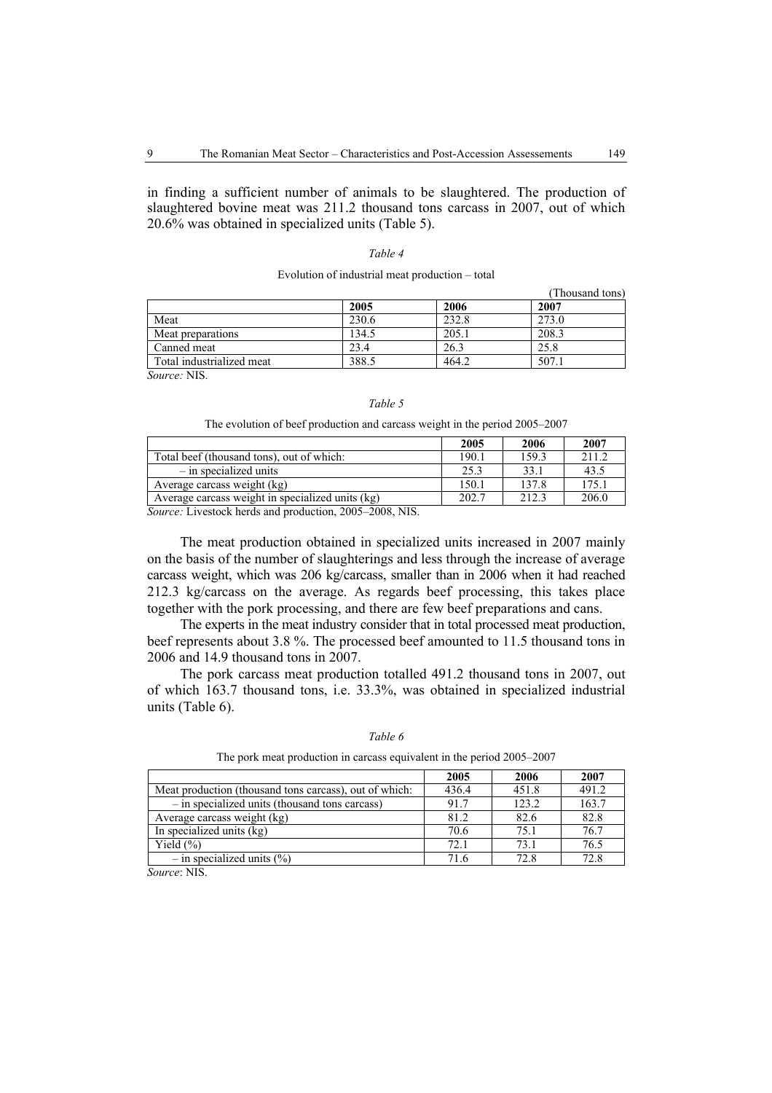in finding a sufficient number of animals to be slaughtered. The production of slaughtered bovine meat was 211.2 thousand tons carcass in 2007, out of which 20.6% was obtained in specialized units (Table 5).

#### *Table 4*

#### Evolution of industrial meat production – total

|                           |       |       | (Thousand tons) |
|---------------------------|-------|-------|-----------------|
|                           | 2005  | 2006  | 2007            |
| Meat                      | 230.6 | 232.8 | 273.0           |
| Meat preparations         | 134.5 | 205.1 | 208.3           |
| Canned meat               | 23.4  | 26.3  | 25.8            |
| Total industrialized meat | 388.5 | 464.2 | 507.1           |

*Source:* NIS.

#### *Table 5*

The evolution of beef production and carcass weight in the period 2005–2007

|                                                  | 2005  | 2006  | 2007  |
|--------------------------------------------------|-------|-------|-------|
| Total beef (thousand tons), out of which:        | 190.1 | 159.3 | 211.2 |
| $-$ in specialized units                         | 25.3  | 33.1  | 43.5  |
| Average carcass weight (kg)                      | 150.1 | 137.8 | 175.1 |
| Average carcass weight in specialized units (kg) | 202.7 | 212.3 | 206.0 |

*Source:* Livestock herds and production, 2005–2008, NIS.

The meat production obtained in specialized units increased in 2007 mainly on the basis of the number of slaughterings and less through the increase of average carcass weight, which was 206 kg/carcass, smaller than in 2006 when it had reached 212.3 kg/carcass on the average. As regards beef processing, this takes place together with the pork processing, and there are few beef preparations and cans.

The experts in the meat industry consider that in total processed meat production, beef represents about 3.8 %. The processed beef amounted to 11.5 thousand tons in 2006 and 14.9 thousand tons in 2007.

The pork carcass meat production totalled 491.2 thousand tons in 2007, out of which 163.7 thousand tons, i.e. 33.3%, was obtained in specialized industrial units (Table 6).

|--|--|

The pork meat production in carcass equivalent in the period 2005–2007

|                                                        | 2005  | 2006  | 2007  |
|--------------------------------------------------------|-------|-------|-------|
| Meat production (thousand tons carcass), out of which: | 436.4 | 451.8 | 491.2 |
| - in specialized units (thousand tons carcass)         | 91.7  | 123.2 | 163.7 |
| Average carcass weight (kg)                            | 81.2  | 82.6  | 82.8  |
| In specialized units (kg)                              | 70.6  | 75.1  | 76.7  |
| Yield $(\% )$                                          | 72.1  | 73.1  | 76.5  |
| $-$ in specialized units $(\% )$                       | 71.6  | 72.8  | 72.8  |

*Source*: NIS.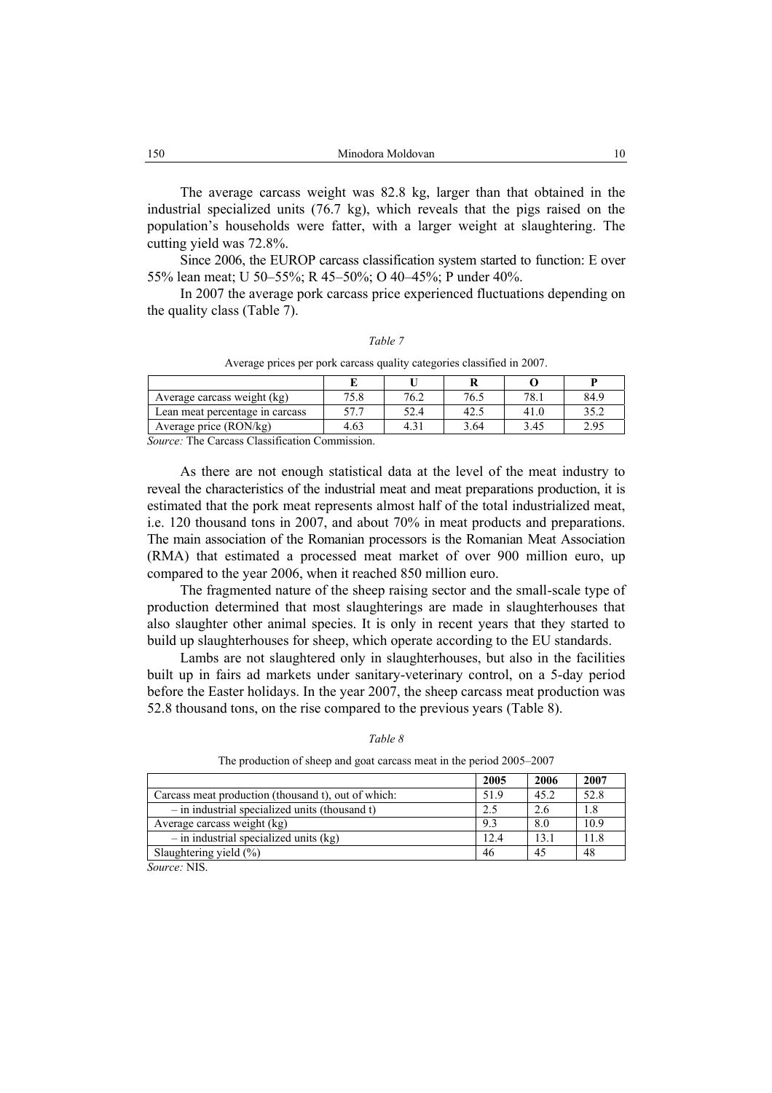The average carcass weight was 82.8 kg, larger than that obtained in the industrial specialized units (76.7 kg), which reveals that the pigs raised on the population's households were fatter, with a larger weight at slaughtering. The cutting yield was 72.8%.

Since 2006, the EUROP carcass classification system started to function: E over 55% lean meat; U 50–55%; R 45–50%; O 40–45%; P under 40%.

In 2007 the average pork carcass price experienced fluctuations depending on the quality class (Table 7).

Average prices per pork carcass quality categories classified in 2007.

| Average carcass weight (kg)     | 75.8 | 76.2 | 76.5 | 78.  | 84.9         |
|---------------------------------|------|------|------|------|--------------|
| Lean meat percentage in carcass | ר רא | 52.4 | 42.  | 41.0 | 252<br>ے . ر |
| Average price $(RON/kg)$        | 4.63 |      | 3.64 | 3.45 | 2.95         |

*Source:* The Carcass Classification Commission.

As there are not enough statistical data at the level of the meat industry to reveal the characteristics of the industrial meat and meat preparations production, it is estimated that the pork meat represents almost half of the total industrialized meat, i.e. 120 thousand tons in 2007, and about 70% in meat products and preparations. The main association of the Romanian processors is the Romanian Meat Association (RMA) that estimated a processed meat market of over 900 million euro, up compared to the year 2006, when it reached 850 million euro.

The fragmented nature of the sheep raising sector and the small-scale type of production determined that most slaughterings are made in slaughterhouses that also slaughter other animal species. It is only in recent years that they started to build up slaughterhouses for sheep, which operate according to the EU standards.

Lambs are not slaughtered only in slaughterhouses, but also in the facilities built up in fairs ad markets under sanitary-veterinary control, on a 5-day period before the Easter holidays. In the year 2007, the sheep carcass meat production was 52.8 thousand tons, on the rise compared to the previous years (Table 8).

|                                                     | 2005 | 2006 | 2007 |
|-----------------------------------------------------|------|------|------|
| Carcass meat production (thousand t), out of which: | 51.9 | 45.2 | 52.8 |
| $-$ in industrial specialized units (thousand t)    | 2.5  | 2.6  | 1.8  |
| Average carcass weight (kg)                         | 9.3  | 8.0  | 10.9 |
| $-$ in industrial specialized units (kg)            | 12.4 | 13.1 | 11.8 |
| Slaughtering yield $(\%)$                           | 46   | 45   | 48   |

*Table 8* 

The production of sheep and goat carcass meat in the period 2005–2007

*Source:* NIS.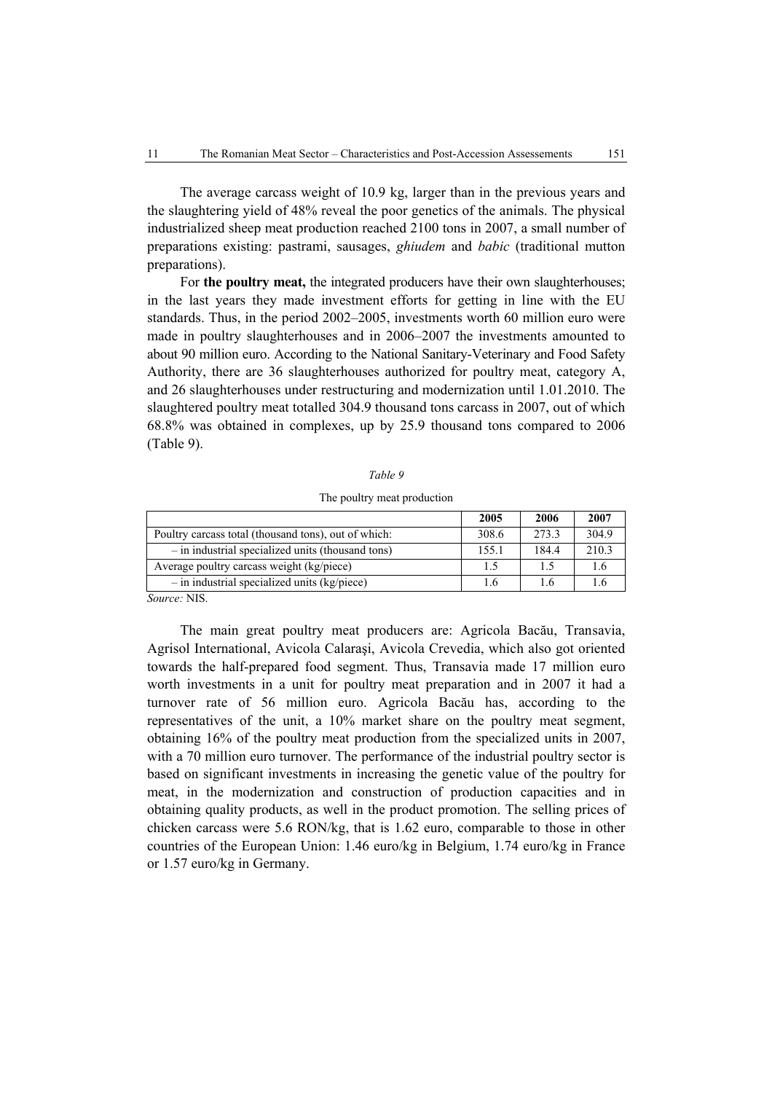The average carcass weight of 10.9 kg, larger than in the previous years and the slaughtering yield of 48% reveal the poor genetics of the animals. The physical industrialized sheep meat production reached 2100 tons in 2007, a small number of preparations existing: pastrami, sausages, *ghiudem* and *babic* (traditional mutton preparations).

For **the poultry meat,** the integrated producers have their own slaughterhouses; in the last years they made investment efforts for getting in line with the EU standards. Thus, in the period 2002–2005, investments worth 60 million euro were made in poultry slaughterhouses and in 2006–2007 the investments amounted to about 90 million euro. According to the National Sanitary-Veterinary and Food Safety Authority, there are 36 slaughterhouses authorized for poultry meat, category A, and 26 slaughterhouses under restructuring and modernization until 1.01.2010. The slaughtered poultry meat totalled 304.9 thousand tons carcass in 2007, out of which 68.8% was obtained in complexes, up by 25.9 thousand tons compared to 2006 (Table 9).

|--|--|

The poultry meat production

|                                                      | 2005  | 2006  | 2007  |
|------------------------------------------------------|-------|-------|-------|
| Poultry carcass total (thousand tons), out of which: | 308.6 | 273.3 | 304.9 |
| - in industrial specialized units (thousand tons)    | 155.1 | 184.4 | 210.3 |
| Average poultry carcass weight (kg/piece)            | 1.5   | 15    |       |
| $-$ in industrial specialized units (kg/piece)       | 1.6   | 16    |       |
| $C$ -------- MILO                                    |       |       |       |

*Source:* NIS.

The main great poultry meat producers are: Agricola Bacău, Transavia, Agrisol International, Avicola Calaraşi, Avicola Crevedia, which also got oriented towards the half-prepared food segment. Thus, Transavia made 17 million euro worth investments in a unit for poultry meat preparation and in 2007 it had a turnover rate of 56 million euro. Agricola Bacău has, according to the representatives of the unit, a 10% market share on the poultry meat segment, obtaining 16% of the poultry meat production from the specialized units in 2007, with a 70 million euro turnover. The performance of the industrial poultry sector is based on significant investments in increasing the genetic value of the poultry for meat, in the modernization and construction of production capacities and in obtaining quality products, as well in the product promotion. The selling prices of chicken carcass were 5.6 RON/kg, that is 1.62 euro, comparable to those in other countries of the European Union: 1.46 euro/kg in Belgium, 1.74 euro/kg in France or 1.57 euro/kg in Germany.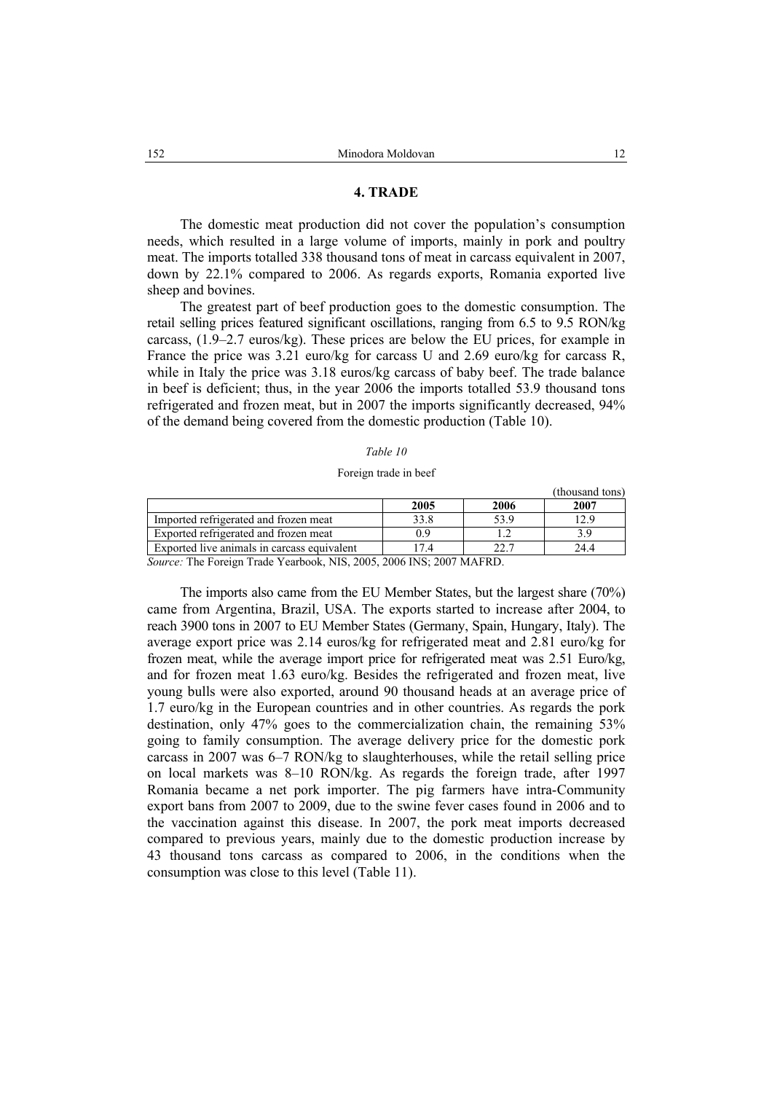### **4. TRADE**

The domestic meat production did not cover the population's consumption needs, which resulted in a large volume of imports, mainly in pork and poultry meat. The imports totalled 338 thousand tons of meat in carcass equivalent in 2007, down by 22.1% compared to 2006. As regards exports, Romania exported live sheep and bovines.

The greatest part of beef production goes to the domestic consumption. The retail selling prices featured significant oscillations, ranging from 6.5 to 9.5 RON/kg carcass, (1.9–2.7 euros/kg). These prices are below the EU prices, for example in France the price was 3.21 euro/kg for carcass U and 2.69 euro/kg for carcass R, while in Italy the price was 3.18 euros/kg carcass of baby beef. The trade balance in beef is deficient; thus, in the year 2006 the imports totalled 53.9 thousand tons refrigerated and frozen meat, but in 2007 the imports significantly decreased, 94% of the demand being covered from the domestic production (Table 10).

#### *Table 10*

#### Foreign trade in beef

(thousand tons) **2005 2006 2007**  Imported refrigerated and frozen meat 133.8 53.9 12.9<br>Exported refrigerated and frozen meat 1 0.9 12 3.9 Exported refrigerated and frozen meat 0.9 1.2 3.9 Exported live animals in carcass equivalent 17.4 22.7 24.4

*Source:* The Foreign Trade Yearbook, NIS, 2005, 2006 INS; 2007 MAFRD.

The imports also came from the EU Member States, but the largest share (70%) came from Argentina, Brazil, USA. The exports started to increase after 2004, to reach 3900 tons in 2007 to EU Member States (Germany, Spain, Hungary, Italy). The average export price was 2.14 euros/kg for refrigerated meat and 2.81 euro/kg for frozen meat, while the average import price for refrigerated meat was 2.51 Euro/kg, and for frozen meat 1.63 euro/kg. Besides the refrigerated and frozen meat, live young bulls were also exported, around 90 thousand heads at an average price of 1.7 euro/kg in the European countries and in other countries. As regards the pork destination, only 47% goes to the commercialization chain, the remaining 53% going to family consumption. The average delivery price for the domestic pork carcass in 2007 was 6–7 RON/kg to slaughterhouses, while the retail selling price on local markets was 8–10 RON/kg. As regards the foreign trade, after 1997 Romania became a net pork importer. The pig farmers have intra-Community export bans from 2007 to 2009, due to the swine fever cases found in 2006 and to the vaccination against this disease. In 2007, the pork meat imports decreased compared to previous years, mainly due to the domestic production increase by 43 thousand tons carcass as compared to 2006, in the conditions when the consumption was close to this level (Table 11).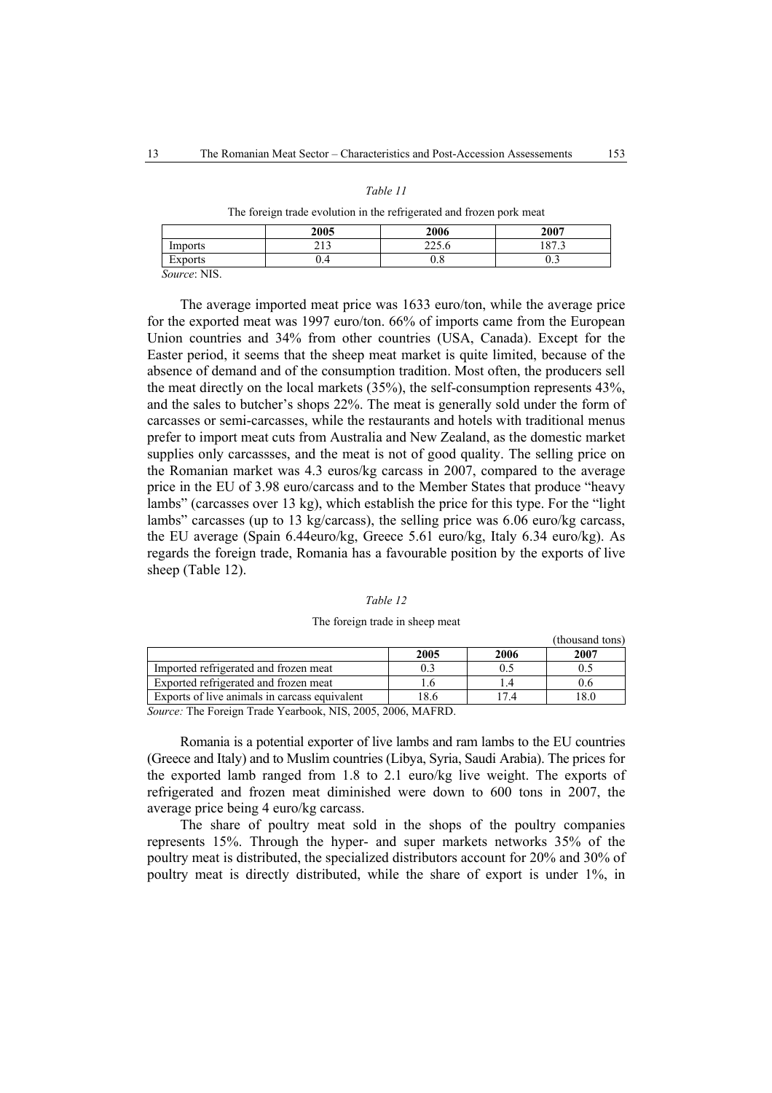# *Table 11*

#### The foreign trade evolution in the refrigerated and frozen pork meat

|                                       | 2005         | 2006            | 2007                        |
|---------------------------------------|--------------|-----------------|-----------------------------|
| Imports                               | 212<br>ر د ب | 225<br>22J.U    | 1072<br>10 <sup>7</sup><br> |
| Exports                               | V.4          | <b>C</b><br>v.o | v.J                         |
| $C_{\alpha_1,\ldots,\alpha_n}$ , MIIC |              |                 |                             |

*Source*: NIS.

The average imported meat price was 1633 euro/ton, while the average price for the exported meat was 1997 euro/ton. 66% of imports came from the European Union countries and 34% from other countries (USA, Canada). Except for the Easter period, it seems that the sheep meat market is quite limited, because of the absence of demand and of the consumption tradition. Most often, the producers sell the meat directly on the local markets (35%), the self-consumption represents 43%, and the sales to butcher's shops 22%. The meat is generally sold under the form of carcasses or semi-carcasses, while the restaurants and hotels with traditional menus prefer to import meat cuts from Australia and New Zealand, as the domestic market supplies only carcassses, and the meat is not of good quality. The selling price on the Romanian market was 4.3 euros/kg carcass in 2007, compared to the average price in the EU of 3.98 euro/carcass and to the Member States that produce "heavy lambs" (carcasses over 13 kg), which establish the price for this type. For the "light lambs" carcasses (up to 13 kg/carcass), the selling price was 6.06 euro/kg carcass, the EU average (Spain 6.44euro/kg, Greece 5.61 euro/kg, Italy 6.34 euro/kg). As regards the foreign trade, Romania has a favourable position by the exports of live sheep (Table 12).

#### *Table 12*

#### The foreign trade in sheep meat

|                                               |       |      | UNUSANY WILS |  |
|-----------------------------------------------|-------|------|--------------|--|
|                                               | 2005  | 2006 | 2007         |  |
| Imported refrigerated and frozen meat         |       |      |              |  |
| Exported refrigerated and frozen meat         |       |      |              |  |
| Exports of live animals in carcass equivalent | . 8.6 |      |              |  |
|                                               |       |      |              |  |

*Source:* The Foreign Trade Yearbook, NIS, 2005, 2006, MAFRD.

Romania is a potential exporter of live lambs and ram lambs to the EU countries (Greece and Italy) and to Muslim countries (Libya, Syria, Saudi Arabia). The prices for the exported lamb ranged from 1.8 to 2.1 euro/kg live weight. The exports of refrigerated and frozen meat diminished were down to 600 tons in 2007, the average price being 4 euro/kg carcass.

The share of poultry meat sold in the shops of the poultry companies represents 15%. Through the hyper- and super markets networks 35% of the poultry meat is distributed, the specialized distributors account for 20% and 30% of poultry meat is directly distributed, while the share of export is under 1%, in

(thousand tons)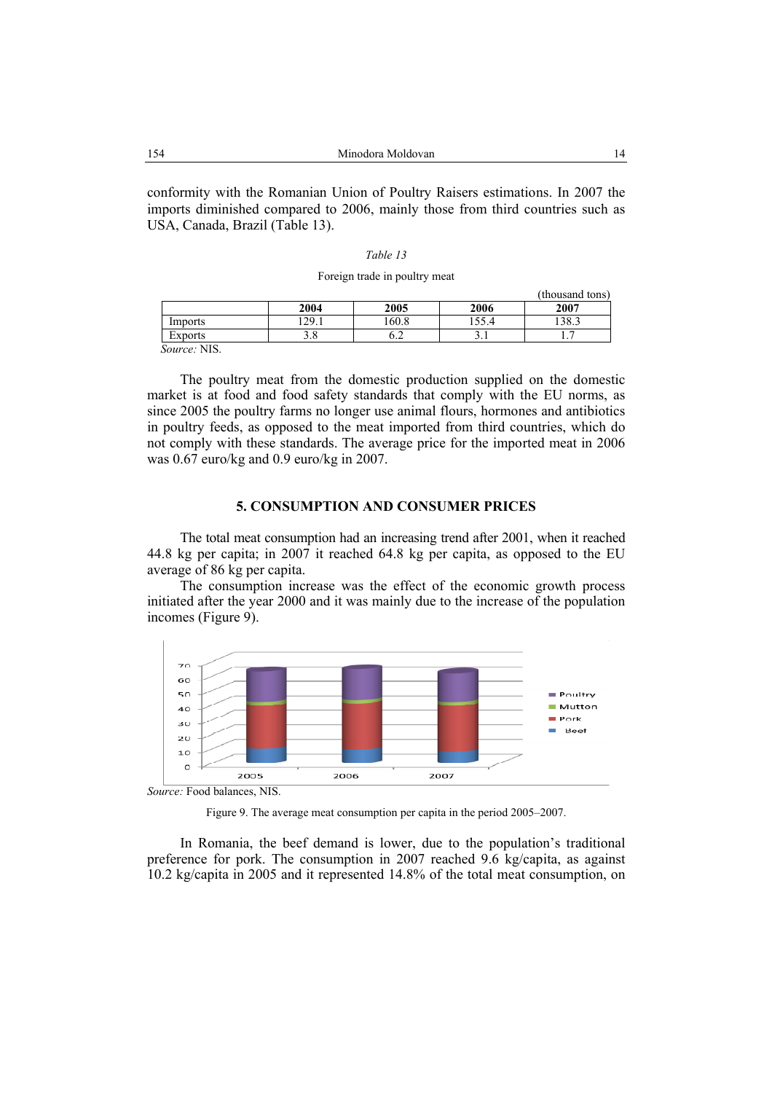conformity with the Romanian Union of Poultry Raisers estimations. In 2007 the imports diminished compared to 2006, mainly those from third countries such as USA, Canada, Brazil (Table 13).

#### *Table 13*

#### Foreign trade in poultry meat

|                   |                            |       |          | (thousand tons) |
|-------------------|----------------------------|-------|----------|-----------------|
|                   | 2004                       | 2005  | 2006     | 2007            |
| Imports           | 129.7<br>$\overline{2}$ .1 | .60.8 | 155.4    | 138.3           |
| Exports           | ن ر                        | ∪.∠   | <u>.</u> | . .             |
| T T T T<br>$\sim$ |                            |       |          |                 |

*Source:* NIS.

The poultry meat from the domestic production supplied on the domestic market is at food and food safety standards that comply with the EU norms, as since 2005 the poultry farms no longer use animal flours, hormones and antibiotics in poultry feeds, as opposed to the meat imported from third countries, which do not comply with these standards. The average price for the imported meat in 2006 was 0.67 euro/kg and 0.9 euro/kg in 2007.

#### **5. CONSUMPTION AND CONSUMER PRICES**

The total meat consumption had an increasing trend after 2001, when it reached 44.8 kg per capita; in 2007 it reached 64.8 kg per capita, as opposed to the EU average of 86 kg per capita.

The consumption increase was the effect of the economic growth process initiated after the year 2000 and it was mainly due to the increase of the population incomes (Figure 9).



*Source:* Food balances, NIS.

Figure 9. The average meat consumption per capita in the period 2005–2007.

In Romania, the beef demand is lower, due to the population's traditional preference for pork. The consumption in 2007 reached 9.6 kg/capita, as against 10.2 kg/capita in 2005 and it represented 14.8% of the total meat consumption, on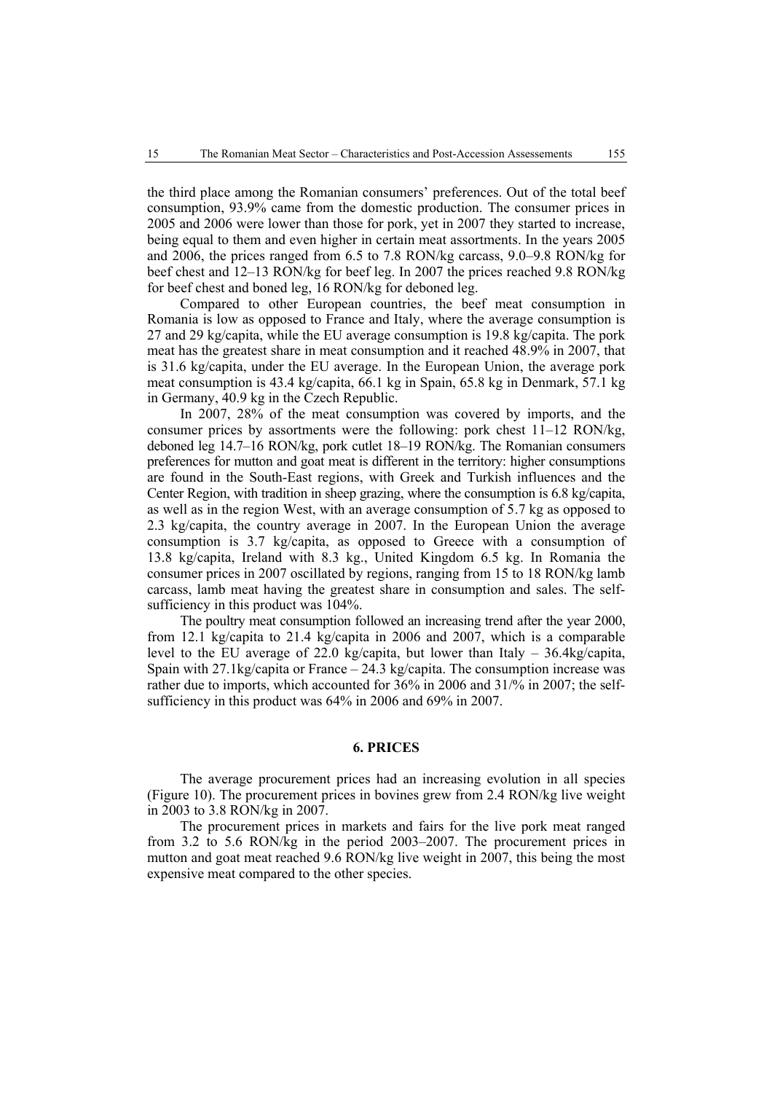the third place among the Romanian consumers' preferences. Out of the total beef consumption, 93.9% came from the domestic production. The consumer prices in 2005 and 2006 were lower than those for pork, yet in 2007 they started to increase, being equal to them and even higher in certain meat assortments. In the years 2005 and 2006, the prices ranged from 6.5 to 7.8 RON/kg carcass, 9.0–9.8 RON/kg for beef chest and 12–13 RON/kg for beef leg. In 2007 the prices reached 9.8 RON/kg for beef chest and boned leg, 16 RON/kg for deboned leg.

Compared to other European countries, the beef meat consumption in Romania is low as opposed to France and Italy, where the average consumption is 27 and 29 kg/capita, while the EU average consumption is 19.8 kg/capita. The pork meat has the greatest share in meat consumption and it reached 48.9% in 2007, that is 31.6 kg/capita, under the EU average. In the European Union, the average pork meat consumption is 43.4 kg/capita, 66.1 kg in Spain, 65.8 kg in Denmark, 57.1 kg in Germany, 40.9 kg in the Czech Republic.

In 2007, 28% of the meat consumption was covered by imports, and the consumer prices by assortments were the following: pork chest  $11-12$  RON/kg, deboned leg 14.7–16 RON/kg, pork cutlet 18–19 RON/kg. The Romanian consumers preferences for mutton and goat meat is different in the territory: higher consumptions are found in the South-East regions, with Greek and Turkish influences and the Center Region, with tradition in sheep grazing, where the consumption is 6.8 kg/capita, as well as in the region West, with an average consumption of 5.7 kg as opposed to 2.3 kg/capita, the country average in 2007. In the European Union the average consumption is 3.7 kg/capita, as opposed to Greece with a consumption of 13.8 kg/capita, Ireland with 8.3 kg., United Kingdom 6.5 kg. In Romania the consumer prices in 2007 oscillated by regions, ranging from 15 to 18 RON/kg lamb carcass, lamb meat having the greatest share in consumption and sales. The selfsufficiency in this product was  $104\%$ .

The poultry meat consumption followed an increasing trend after the year 2000, from 12.1 kg/capita to 21.4 kg/capita in 2006 and 2007, which is a comparable level to the EU average of 22.0 kg/capita, but lower than Italy – 36.4kg/capita, Spain with  $27.1$ kg/capita or France  $-24.3$  kg/capita. The consumption increase was rather due to imports, which accounted for 36% in 2006 and 31/% in 2007; the selfsufficiency in this product was 64% in 2006 and 69% in 2007.

# **6. PRICES**

The average procurement prices had an increasing evolution in all species (Figure 10). The procurement prices in bovines grew from 2.4 RON/kg live weight in 2003 to 3.8 RON/kg in 2007.

The procurement prices in markets and fairs for the live pork meat ranged from 3.2 to 5.6 RON/kg in the period 2003–2007. The procurement prices in mutton and goat meat reached 9.6 RON/kg live weight in 2007, this being the most expensive meat compared to the other species.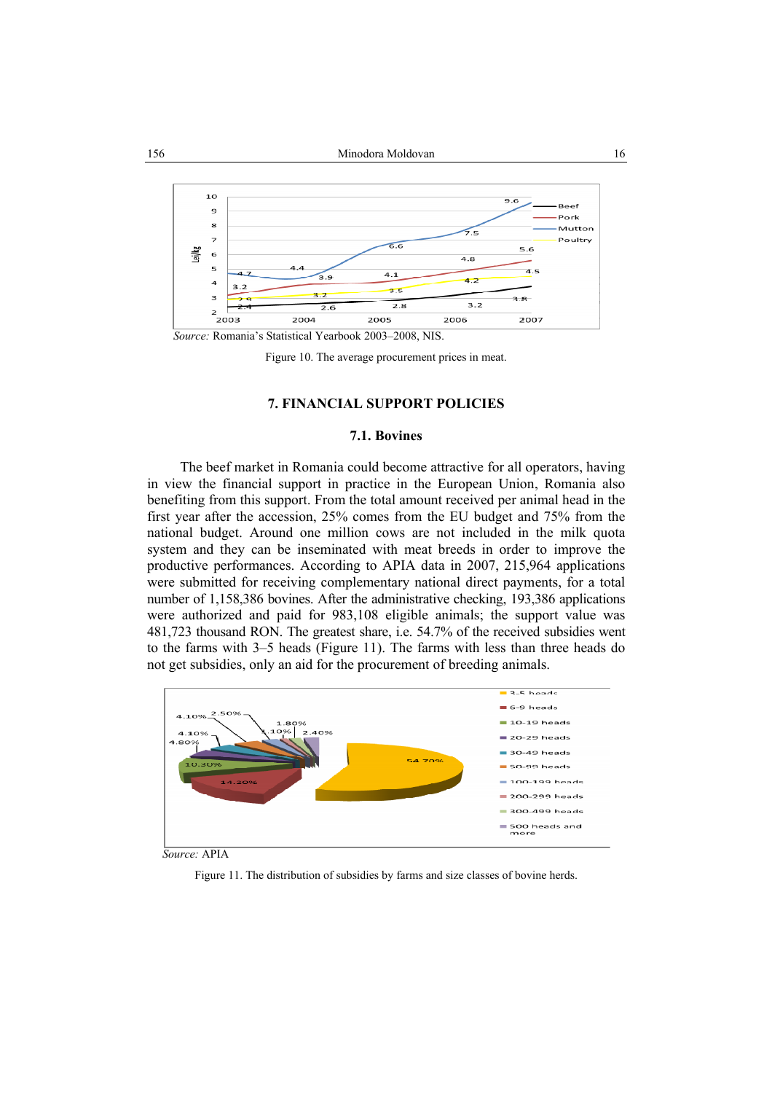

Figure 10. The average procurement prices in meat.

# **7. FINANCIAL SUPPORT POLICIES**

### **7.1. Bovines**

The beef market in Romania could become attractive for all operators, having in view the financial support in practice in the European Union, Romania also benefiting from this support. From the total amount received per animal head in the first year after the accession, 25% comes from the EU budget and 75% from the national budget. Around one million cows are not included in the milk quota system and they can be inseminated with meat breeds in order to improve the productive performances. According to APIA data in 2007, 215,964 applications were submitted for receiving complementary national direct payments, for a total number of 1,158,386 bovines. After the administrative checking, 193,386 applications were authorized and paid for 983,108 eligible animals; the support value was 481,723 thousand RON. The greatest share, i.e. 54.7% of the received subsidies went to the farms with 3–5 heads (Figure 11). The farms with less than three heads do not get subsidies, only an aid for the procurement of breeding animals.



*Source:* APIA

Figure 11. The distribution of subsidies by farms and size classes of bovine herds.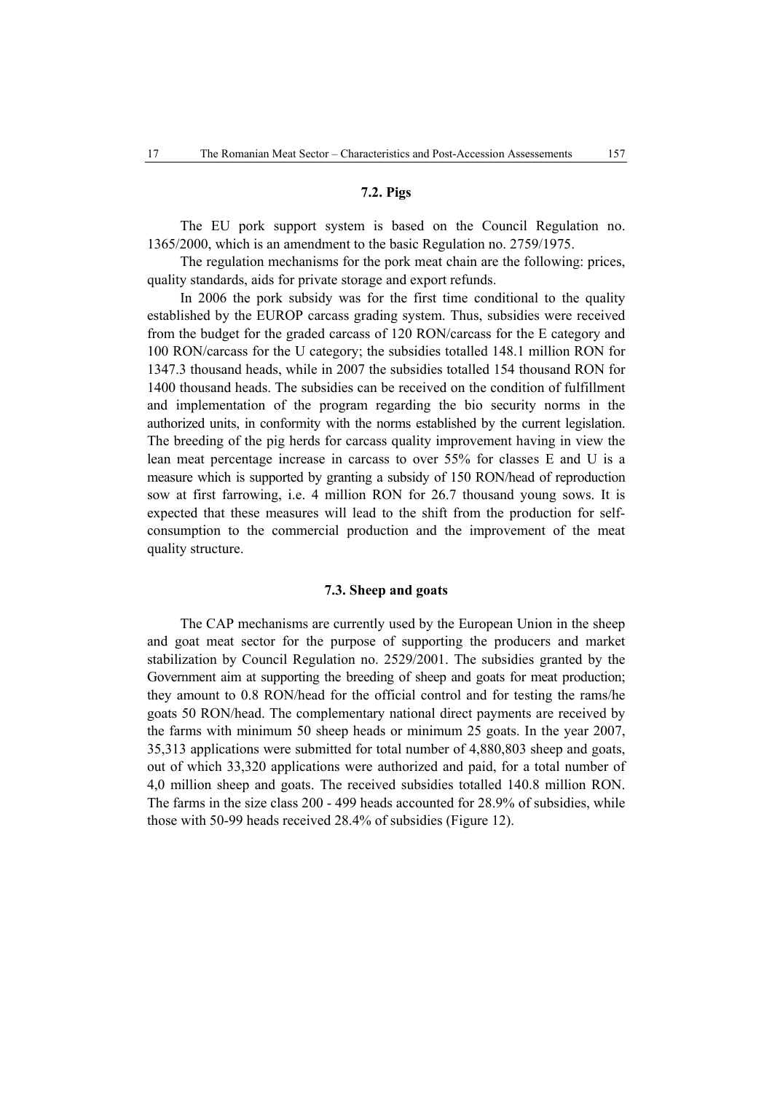# **7.2. Pigs**

The EU pork support system is based on the Council Regulation no. 1365/2000, which is an amendment to the basic Regulation no. 2759/1975.

The regulation mechanisms for the pork meat chain are the following: prices, quality standards, aids for private storage and export refunds.

In 2006 the pork subsidy was for the first time conditional to the quality established by the EUROP carcass grading system. Thus, subsidies were received from the budget for the graded carcass of 120 RON/carcass for the E category and 100 RON/carcass for the U category; the subsidies totalled 148.1 million RON for 1347.3 thousand heads, while in 2007 the subsidies totalled 154 thousand RON for 1400 thousand heads. The subsidies can be received on the condition of fulfillment and implementation of the program regarding the bio security norms in the authorized units, in conformity with the norms established by the current legislation. The breeding of the pig herds for carcass quality improvement having in view the lean meat percentage increase in carcass to over 55% for classes E and U is a measure which is supported by granting a subsidy of 150 RON/head of reproduction sow at first farrowing, i.e. 4 million RON for 26.7 thousand young sows. It is expected that these measures will lead to the shift from the production for selfconsumption to the commercial production and the improvement of the meat quality structure.

# **7.3. Sheep and goats**

The CAP mechanisms are currently used by the European Union in the sheep and goat meat sector for the purpose of supporting the producers and market stabilization by Council Regulation no. 2529/2001. The subsidies granted by the Government aim at supporting the breeding of sheep and goats for meat production; they amount to 0.8 RON/head for the official control and for testing the rams/he goats 50 RON/head. The complementary national direct payments are received by the farms with minimum 50 sheep heads or minimum 25 goats. In the year 2007, 35,313 applications were submitted for total number of 4,880,803 sheep and goats, out of which 33,320 applications were authorized and paid, for a total number of 4,0 million sheep and goats. The received subsidies totalled 140.8 million RON. The farms in the size class 200 - 499 heads accounted for 28.9% of subsidies, while those with 50-99 heads received 28.4% of subsidies (Figure 12).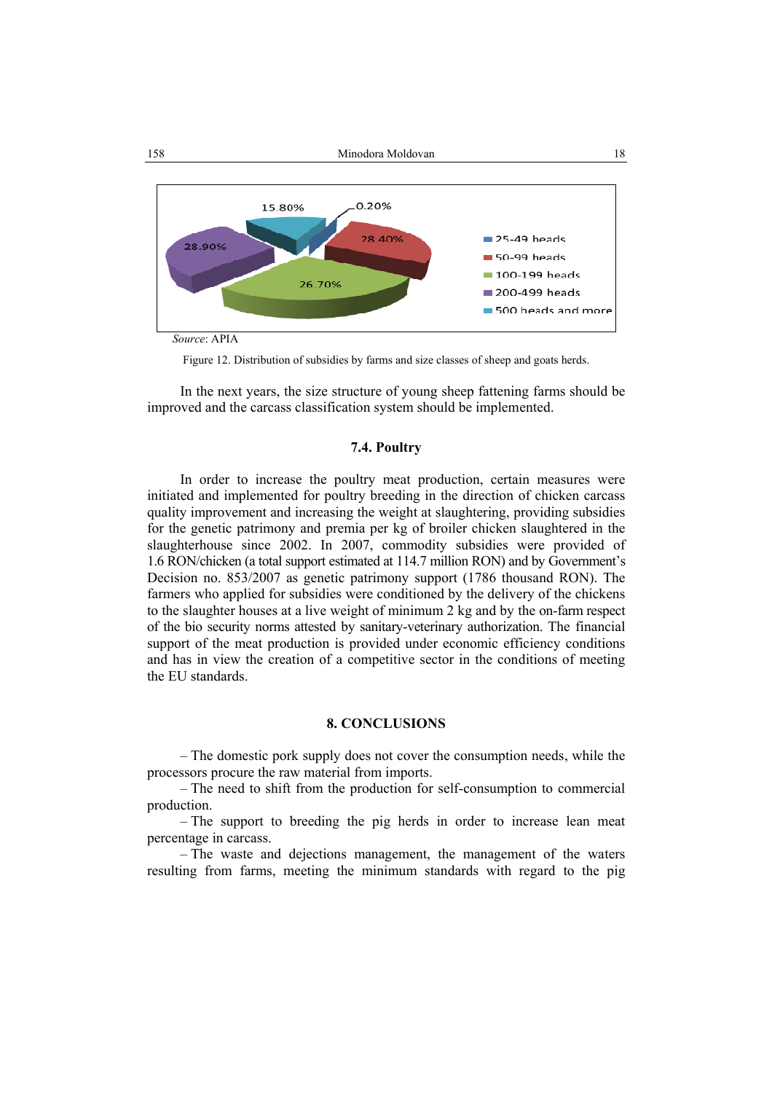

Figure 12. Distribution of subsidies by farms and size classes of sheep and goats herds.

In the next years, the size structure of young sheep fattening farms should be improved and the carcass classification system should be implemented.

# **7.4. Poultry**

In order to increase the poultry meat production, certain measures were initiated and implemented for poultry breeding in the direction of chicken carcass quality improvement and increasing the weight at slaughtering, providing subsidies for the genetic patrimony and premia per kg of broiler chicken slaughtered in the slaughterhouse since 2002. In 2007, commodity subsidies were provided of 1.6 RON/chicken (a total support estimated at 114.7 million RON) and by Government's Decision no. 853/2007 as genetic patrimony support (1786 thousand RON). The farmers who applied for subsidies were conditioned by the delivery of the chickens to the slaughter houses at a live weight of minimum 2 kg and by the on-farm respect of the bio security norms attested by sanitary-veterinary authorization. The financial support of the meat production is provided under economic efficiency conditions and has in view the creation of a competitive sector in the conditions of meeting the EU standards.

# **8. CONCLUSIONS**

– The domestic pork supply does not cover the consumption needs, while the processors procure the raw material from imports.

– The need to shift from the production for self-consumption to commercial production.

– The support to breeding the pig herds in order to increase lean meat percentage in carcass.

– The waste and dejections management, the management of the waters resulting from farms, meeting the minimum standards with regard to the pig